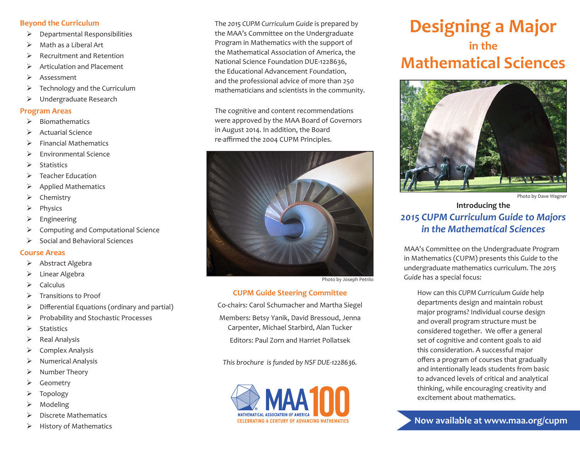## **Beyond the Curriculum**

- $\triangleright$  Departmental Responsibilities
- $\triangleright$  Math as a Liberal Art
- $\triangleright$  Recruitment and Retention
- $\triangleright$  Articulation and Placement
- $\triangleright$  Assessment
- $\triangleright$  Technology and the Curriculum
- ¾ Undergraduate Research

## **Program Areas**

- $\triangleright$  Biomathematics
- $\triangleright$  Actuarial Science
- $\triangleright$  Financial Mathematics
- $\triangleright$  Environmental Science
- $\triangleright$  Statistics
- $\triangleright$  Teacher Education
- $\triangleright$  Applied Mathematics
- $\triangleright$  Chemistry
- ¾ Physics
- ¾ Engineering
- ¾ Computing and Computational Science
- $\triangleright$  Social and Behavioral Sciences

#### **Course Areas**

- ¾ Abstract Algebra
- ¾ Linear Algebra
- $\triangleright$  Calculus
- ¾ Transitions to Proof
- $\triangleright$  Differential Equations (ordinary and partial)
- ¾ Probability and Stochastic Processes
- $\triangleright$  Statistics
- $\triangleright$  Real Analysis
- $\triangleright$  Complex Analysis
- $\triangleright$  Numerical Analysis
- ¾ Number Theory
- ¾ Geometry
- ¾ Topology
- ¾ Modeling
- $\triangleright$  Discrete Mathematics
- $\triangleright$  History of Mathematics

The *2015 CUPM Curriculum Guide* is prepared by the MAA's Committee on the Undergraduate Program in Mathematics with the support of the Mathematical Association of America, the National Science Foundation DUE-1228636, the Educational Advancement Foundation, and the professional advice of more than 250 mathematicians and scientists in the community.

The cognitive and content recommendations were approved by the MAA Board of Governors in August 2014. In addition, the Board re-affirmed the 2004 CUPM Principles.



Photo by Joseph Petrilo

## **CUPM Guide Steering Committee**

Co-chairs: Carol Schumacher and Martha Siegel

Members: Betsy Yanik, David Bressoud, Jenna Carpenter, Michael Starbird, Alan Tucker

Editors: Paul Zorn and Harriet Pollatsek

*This brochure is funded by NSF DUE-1228636.*



# **Designing a Major in the Mathematical Sciences**



Photo by Dave Wagner

# **Introducing the** *2015 CUPM Curriculum Guide to Majors in the Mathematical Sciences*

MAA's Committee on the Undergraduate Program in Mathematics (CUPM) presents this *Guide* to the undergraduate mathematics curriculum. The *2015 Guide* has a special focus:

How can this *CUPM Curriculum Guide* help departments design and maintain robust major programs? Individual course design and overall program structure must be considered together. We offer a general set of cognitive and content goals to aid this consideration. A successful major offers a program of courses that gradually and intentionally leads students from basic to advanced levels of critical and analytical thinking, while encouraging creativity and excitement about mathematics.

**Now available at www.maa.org/cupm**